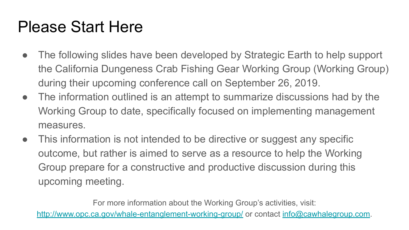#### Please Start Here

- The following slides have been developed by Strategic Earth to help support the California Dungeness Crab Fishing Gear Working Group (Working Group) during their upcoming conference call on September 26, 2019.
- The information outlined is an attempt to summarize discussions had by the Working Group to date, specifically focused on implementing management measures.
- This information is not intended to be directive or suggest any specific outcome, but rather is aimed to serve as a resource to help the Working Group prepare for a constructive and productive discussion during this upcoming meeting.

For more information about the Working Group's activities, visit: <http://www.opc.ca.gov/whale-entanglement-working-group/>or contact [info@cawhalegroup.com](mailto:info@cawhalegroup.com).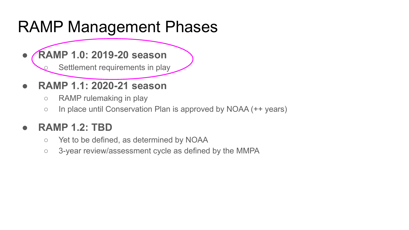#### RAMP Management Phases

**● RAMP 1.0: 2019-20 season**

Settlement requirements in play

- **● RAMP 1.1: 2020-21 season**
	- RAMP rulemaking in play
	- In place until Conservation Plan is approved by NOAA (++ years)

#### **● RAMP 1.2: TBD**

- Yet to be defined, as determined by NOAA
- 3-year review/assessment cycle as defined by the MMPA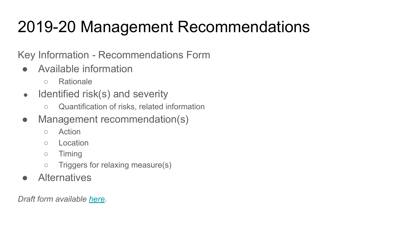Key Information - Recommendations Form

- Available information
	- Rationale
- $\bullet$  Identified risk(s) and severity
	- Quantification of risks, related information
- Management recommendation(s)
	- Action
	- Location
	- Timing
	- Triggers for relaxing measure(s)
- **Alternatives**

*Draft form available [here](https://docs.google.com/document/d/1c4UTPD_Sbo3PX5OxxOqkxISlBswEFNEwwkgQJG01ODU/edit).*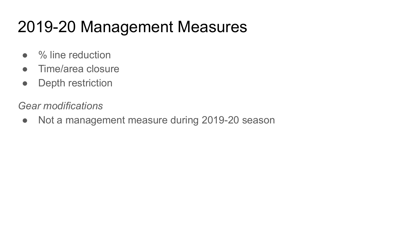## 2019-20 Management Measures

- % line reduction
- Time/area closure
- Depth restriction

*Gear modifications*

• Not a management measure during 2019-20 season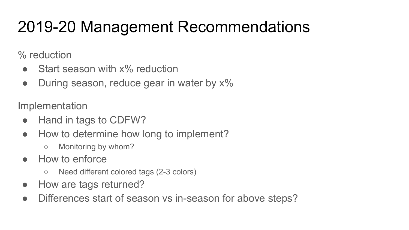% reduction

- Start season with x% reduction
- During season, reduce gear in water by  $x\%$

Implementation

- Hand in tags to CDFW?
- How to determine how long to implement?
	- Monitoring by whom?
- How to enforce
	- Need different colored tags (2-3 colors)
- How are tags returned?
- Differences start of season vs in-season for above steps?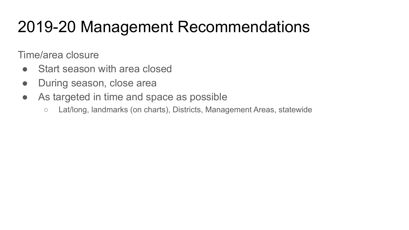Time/area closure

- Start season with area closed
- During season, close area
- As targeted in time and space as possible
	- Lat/long, landmarks (on charts), Districts, Management Areas, statewide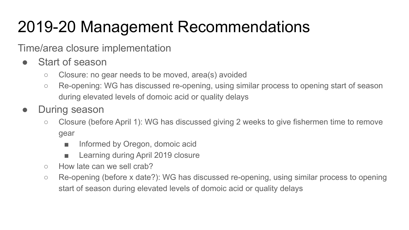Time/area closure implementation

- Start of season
	- Closure: no gear needs to be moved, area(s) avoided
	- Re-opening: WG has discussed re-opening, using similar process to opening start of season during elevated levels of domoic acid or quality delays
- During season
	- Closure (before April 1): WG has discussed giving 2 weeks to give fishermen time to remove gear
		- Informed by Oregon, domoic acid
		- Learning during April 2019 closure
	- How late can we sell crab?
	- Re-opening (before x date?): WG has discussed re-opening, using similar process to opening start of season during elevated levels of domoic acid or quality delays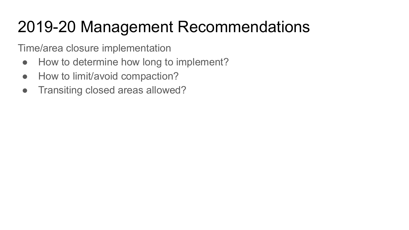Time/area closure implementation

- How to determine how long to implement?
- How to limit/avoid compaction?
- Transiting closed areas allowed?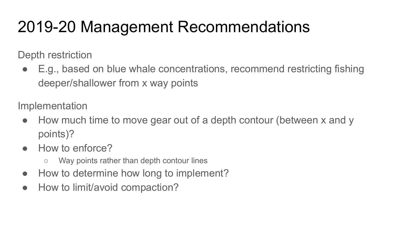Depth restriction

E.g., based on blue whale concentrations, recommend restricting fishing deeper/shallower from x way points

Implementation

- How much time to move gear out of a depth contour (between x and y points)?
- How to enforce?
	- Way points rather than depth contour lines
- How to determine how long to implement?
- How to limit/avoid compaction?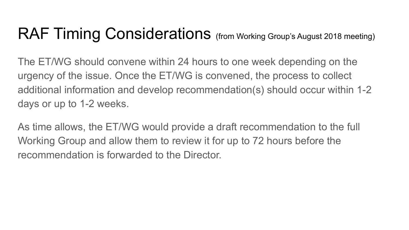#### RAF Timing Considerations (from Working Group's August 2018 meeting)

The ET/WG should convene within 24 hours to one week depending on the urgency of the issue. Once the ET/WG is convened, the process to collect additional information and develop recommendation(s) should occur within 1-2 days or up to 1-2 weeks.

As time allows, the ET/WG would provide a draft recommendation to the full Working Group and allow them to review it for up to 72 hours before the recommendation is forwarded to the Director.